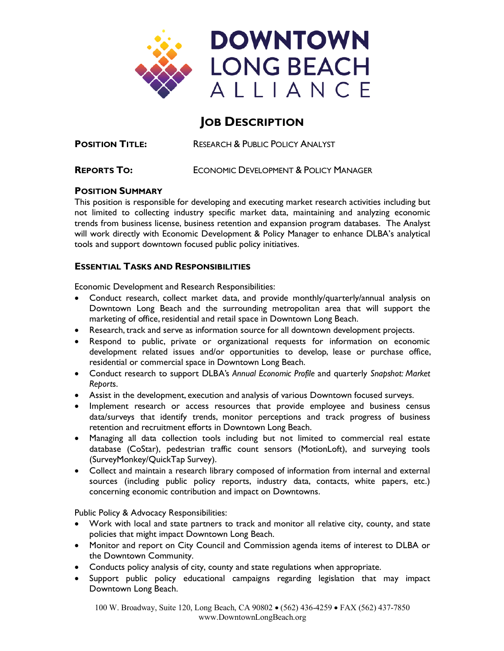

# **JOB DESCRIPTION**

**POSITION TITLE:** RESEARCH & PUBLIC POLICY ANALYST

**REPORTS TO:** ECONOMIC DEVELOPMENT & POLICY MANAGER

### **POSITION SUMMARY**

This position is responsible for developing and executing market research activities including but not limited to collecting industry specific market data, maintaining and analyzing economic trends from business license, business retention and expansion program databases. The Analyst will work directly with Economic Development & Policy Manager to enhance DLBA's analytical tools and support downtown focused public policy initiatives.

# **ESSENTIAL TASKS AND RESPONSIBILITIES**

Economic Development and Research Responsibilities:

- Conduct research, collect market data, and provide monthly/quarterly/annual analysis on Downtown Long Beach and the surrounding metropolitan area that will support the marketing of office, residential and retail space in Downtown Long Beach.
- Research, track and serve as information source for all downtown development projects.
- Respond to public, private or organizational requests for information on economic development related issues and/or opportunities to develop, lease or purchase office, residential or commercial space in Downtown Long Beach.
- Conduct research to support DLBA's *Annual Economic Profile* and quarterly *Snapshot: Market Report*s.
- Assist in the development, execution and analysis of various Downtown focused surveys.
- Implement research or access resources that provide employee and business census data/surveys that identify trends, monitor perceptions and track progress of business retention and recruitment efforts in Downtown Long Beach.
- Managing all data collection tools including but not limited to commercial real estate database (CoStar), pedestrian traffic count sensors (MotionLoft), and surveying tools (SurveyMonkey/QuickTap Survey).
- Collect and maintain a research library composed of information from internal and external sources (including public policy reports, industry data, contacts, white papers, etc.) concerning economic contribution and impact on Downtowns.

Public Policy & Advocacy Responsibilities:

- Work with local and state partners to track and monitor all relative city, county, and state policies that might impact Downtown Long Beach.
- Monitor and report on City Council and Commission agenda items of interest to DLBA or the Downtown Community.
- Conducts policy analysis of city, county and state regulations when appropriate.
- Support public policy educational campaigns regarding legislation that may impact Downtown Long Beach.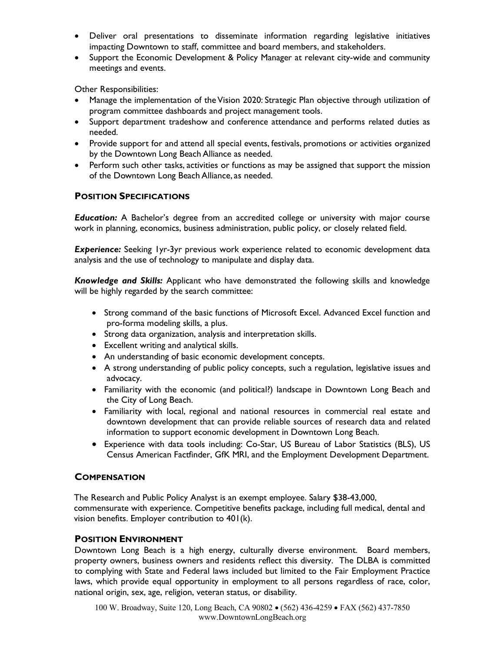- Deliver oral presentations to disseminate information regarding legislative initiatives impacting Downtown to staff, committee and board members, and stakeholders.
- Support the Economic Development & Policy Manager at relevant city-wide and community meetings and events.

Other Responsibilities:

- Manage the implementation of the Vision 2020: Strategic Plan objective through utilization of program committee dashboards and project management tools.
- Support department tradeshow and conference attendance and performs related duties as needed.
- Provide support for and attend all special events, festivals, promotions or activities organized by the Downtown Long Beach Alliance as needed.
- Perform such other tasks, activities or functions as may be assigned that support the mission of the Downtown Long Beach Alliance, as needed.

### **POSITION SPECIFICATIONS**

*Education:* A Bachelor's degree from an accredited college or university with major course work in planning, economics, business administration, public policy, or closely related field.

**Experience:** Seeking 1yr-3yr previous work experience related to economic development data analysis and the use of technology to manipulate and display data.

*Knowledge and Skills:* Applicant who have demonstrated the following skills and knowledge will be highly regarded by the search committee:

- Strong command of the basic functions of Microsoft Excel. Advanced Excel function and pro-forma modeling skills, a plus.
- Strong data organization, analysis and interpretation skills.
- Excellent writing and analytical skills.
- An understanding of basic economic development concepts.
- A strong understanding of public policy concepts, such a regulation, legislative issues and advocacy.
- Familiarity with the economic (and political?) landscape in Downtown Long Beach and the City of Long Beach.
- Familiarity with local, regional and national resources in commercial real estate and downtown development that can provide reliable sources of research data and related information to support economic development in Downtown Long Beach.
- Experience with data tools including: Co-Star, US Bureau of Labor Statistics (BLS), US Census American Factfinder, GfK MRI, and the Employment Development Department.

# **COMPENSATION**

The Research and Public Policy Analyst is an exempt employee. Salary \$38-43,000, commensurate with experience. Competitive benefits package, including full medical, dental and vision benefits. Employer contribution to 401(k).

# **POSITION ENVIRONMENT**

Downtown Long Beach is a high energy, culturally diverse environment. Board members, property owners, business owners and residents reflect this diversity. The DLBA is committed to complying with State and Federal laws included but limited to the Fair Employment Practice laws, which provide equal opportunity in employment to all persons regardless of race, color, national origin, sex, age, religion, veteran status, or disability.